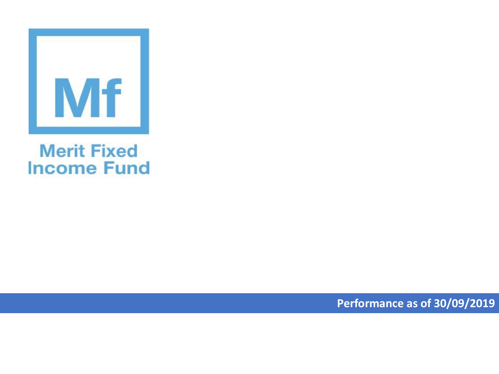

## **Merit Fixed Income Fund**

**Performance as of 30/09/2019**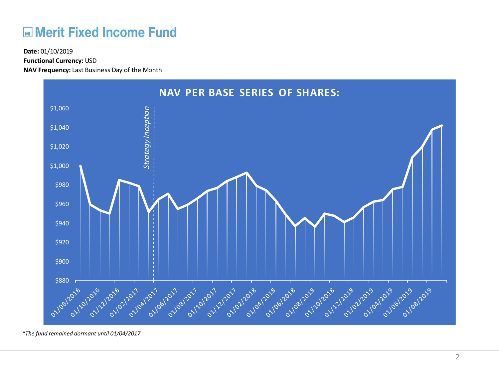## **ME Merit Fixed Income Fund**

**Functional Currency:** USD

**NAV Frequency:** Last Business Day of the Month